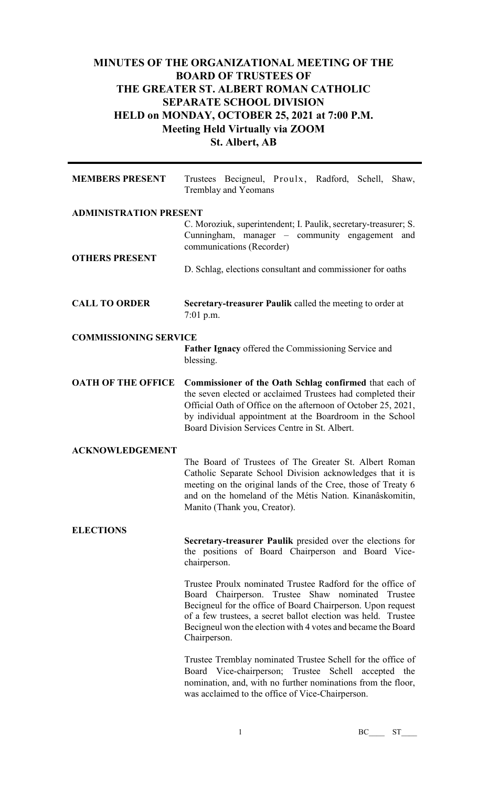# **MINUTES OF THE ORGANIZATIONAL MEETING OF THE BOARD OF TRUSTEES OF THE GREATER ST. ALBERT ROMAN CATHOLIC SEPARATE SCHOOL DIVISION HELD on MONDAY, OCTOBER 25, 2021 at 7:00 P.M. Meeting Held Virtually via ZOOM St. Albert, AB**

| <b>MEMBERS PRESENT</b>        | Trustees Becigneul, Proulx, Radford, Schell, Shaw,<br>Tremblay and Yeomans                                                                                                                                                                                                                                                      |
|-------------------------------|---------------------------------------------------------------------------------------------------------------------------------------------------------------------------------------------------------------------------------------------------------------------------------------------------------------------------------|
| <b>ADMINISTRATION PRESENT</b> |                                                                                                                                                                                                                                                                                                                                 |
| <b>OTHERS PRESENT</b>         | C. Moroziuk, superintendent; I. Paulik, secretary-treasurer; S.<br>Cunningham, manager – community engagement and<br>communications (Recorder)                                                                                                                                                                                  |
|                               | D. Schlag, elections consultant and commissioner for oaths                                                                                                                                                                                                                                                                      |
| <b>CALL TO ORDER</b>          | <b>Secretary-treasurer Paulik called the meeting to order at</b><br>$7:01$ p.m.                                                                                                                                                                                                                                                 |
| <b>COMMISSIONING SERVICE</b>  | <b>Father Ignacy</b> offered the Commissioning Service and<br>blessing.                                                                                                                                                                                                                                                         |
| <b>OATH OF THE OFFICE</b>     | <b>Commissioner of the Oath Schlag confirmed</b> that each of<br>the seven elected or acclaimed Trustees had completed their<br>Official Oath of Office on the afternoon of October 25, 2021,<br>by individual appointment at the Boardroom in the School<br>Board Division Services Centre in St. Albert.                      |
| <b>ACKNOWLEDGEMENT</b>        | The Board of Trustees of The Greater St. Albert Roman<br>Catholic Separate School Division acknowledges that it is<br>meeting on the original lands of the Cree, those of Treaty 6<br>and on the homeland of the Métis Nation. Kinanâskomitin,<br>Manito (Thank you, Creator).                                                  |
| <b>ELECTIONS</b>              | Secretary-treasurer Paulik presided over the elections for<br>the positions of Board Chairperson and Board Vice-<br>chairperson.                                                                                                                                                                                                |
|                               | Trustee Proulx nominated Trustee Radford for the office of<br>Board Chairperson. Trustee Shaw nominated Trustee<br>Becigneul for the office of Board Chairperson. Upon request<br>of a few trustees, a secret ballot election was held. Trustee<br>Becigneul won the election with 4 votes and became the Board<br>Chairperson. |
|                               | Trustee Tremblay nominated Trustee Schell for the office of<br>Board Vice-chairperson; Trustee Schell accepted the<br>nomination, and, with no further nominations from the floor,                                                                                                                                              |

1 BC\_\_\_ ST\_\_\_

was acclaimed to the office of Vice-Chairperson.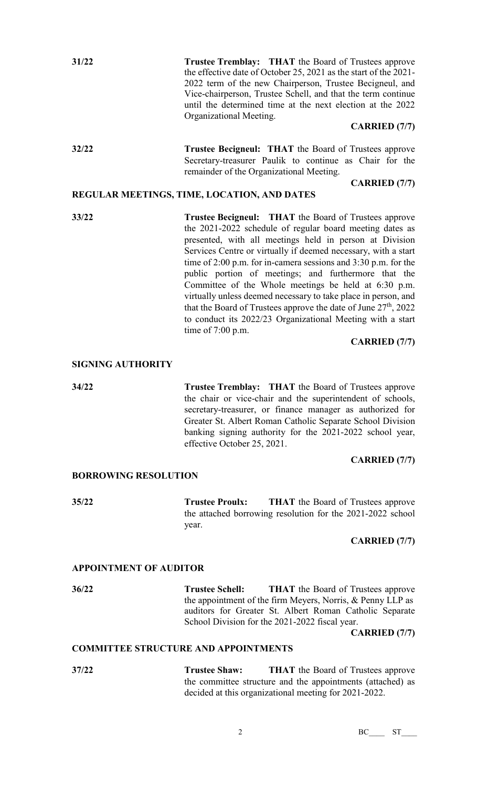| 31/22 | <b>Trustee Tremblay:</b> THAT the Board of Trustees approve      |
|-------|------------------------------------------------------------------|
|       | the effective date of October 25, 2021 as the start of the 2021- |
|       | 2022 term of the new Chairperson, Trustee Becigneul, and         |
|       | Vice-chairperson, Trustee Schell, and that the term continue     |
|       | until the determined time at the next election at the 2022       |
|       | Organizational Meeting.                                          |
|       | $C$ in Die $D$ $\left($ $\blacksquare$                           |

#### **CARRIED (7/7)**

**32/22 Trustee Becigneul: THAT** the Board of Trustees approve Secretary-treasurer Paulik to continue as Chair for the remainder of the Organizational Meeting.

### **CARRIED (7/7)**

# **REGULAR MEETINGS, TIME, LOCATION, AND DATES**

**33/22 Trustee Becigneul: THAT** the Board of Trustees approve the 2021-2022 schedule of regular board meeting dates as presented, with all meetings held in person at Division Services Centre or virtually if deemed necessary, with a start time of 2:00 p.m. for in-camera sessions and 3:30 p.m. for the public portion of meetings; and furthermore that the Committee of the Whole meetings be held at 6:30 p.m. virtually unless deemed necessary to take place in person, and that the Board of Trustees approve the date of June  $27<sup>th</sup>$ , 2022 to conduct its 2022/23 Organizational Meeting with a start time of 7:00 p.m.

**CARRIED (7/7)**

# **SIGNING AUTHORITY**

**34/22 Trustee Tremblay: THAT** the Board of Trustees approve the chair or vice-chair and the superintendent of schools, secretary-treasurer, or finance manager as authorized for Greater St. Albert Roman Catholic Separate School Division banking signing authority for the 2021-2022 school year, effective October 25, 2021.

### **CARRIED (7/7)**

### **BORROWING RESOLUTION**

**35/22 Trustee Proulx: THAT** the Board of Trustees approve the attached borrowing resolution for the 2021-2022 school year.

#### **CARRIED (7/7)**

#### **APPOINTMENT OF AUDITOR**

**36/22 Trustee Schell: THAT** the Board of Trustees approve the appointment of the firm Meyers, Norris, & Penny LLP as auditors for Greater St. Albert Roman Catholic Separate School Division for the 2021-2022 fiscal year.

**CARRIED (7/7)**

## **COMMITTEE STRUCTURE AND APPOINTMENTS**

**37/22 Trustee Shaw: THAT** the Board of Trustees approve the committee structure and the appointments (attached) as decided at this organizational meeting for 2021-2022.